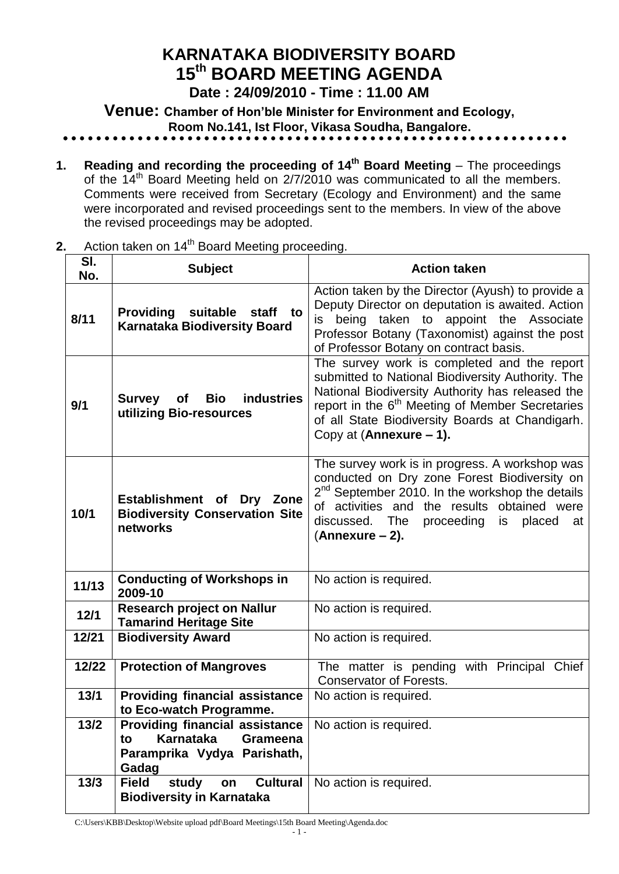# **KARNATAKA BIODIVERSITY BOARD 15 th BOARD MEETING AGENDA**

**Date : 24/09/2010 - Time : 11.00 AM**

**Venue: Chamber of Hon'ble Minister for Environment and Ecology,** 

 **Room No.141, Ist Floor, Vikasa Soudha, Bangalore.**

- **1. Reading and recording the proceeding of 14<sup>th</sup> Board Meeting** The proceedings of the 14<sup>th</sup> Board Meeting held on 2/7/2010 was communicated to all the members. Comments were received from Secretary (Ecology and Environment) and the same were incorporated and revised proceedings sent to the members. In view of the above the revised proceedings may be adopted.
- **2.** Action taken on 14<sup>th</sup> Board Meeting proceeding.

| SI.<br>No. | <b>Subject</b>                                                                                                      | <b>Action taken</b>                                                                                                                                                                                                                                                                               |
|------------|---------------------------------------------------------------------------------------------------------------------|---------------------------------------------------------------------------------------------------------------------------------------------------------------------------------------------------------------------------------------------------------------------------------------------------|
| 8/11       | Providing suitable staff to<br><b>Karnataka Biodiversity Board</b>                                                  | Action taken by the Director (Ayush) to provide a<br>Deputy Director on deputation is awaited. Action<br>being taken to appoint the Associate<br>is<br>Professor Botany (Taxonomist) against the post<br>of Professor Botany on contract basis.                                                   |
| 9/1        | industries<br>Bio<br><b>Survey</b><br>of<br>utilizing Bio-resources                                                 | The survey work is completed and the report<br>submitted to National Biodiversity Authority. The<br>National Biodiversity Authority has released the<br>report in the 6 <sup>th</sup> Meeting of Member Secretaries<br>of all State Biodiversity Boards at Chandigarh.<br>Copy at (Annexure - 1). |
| 10/1       | Establishment of Dry Zone<br><b>Biodiversity Conservation Site</b><br>networks                                      | The survey work is in progress. A workshop was<br>conducted on Dry zone Forest Biodiversity on<br>2 <sup>nd</sup> September 2010. In the workshop the details<br>of activities and the results obtained were<br>discussed. The<br>proceeding<br>is placed<br>at<br>$(Annexure - 2).$              |
| 11/13      | <b>Conducting of Workshops in</b><br>2009-10                                                                        | No action is required.                                                                                                                                                                                                                                                                            |
| 12/1       | <b>Research project on Nallur</b><br><b>Tamarind Heritage Site</b>                                                  | No action is required.                                                                                                                                                                                                                                                                            |
| 12/21      | <b>Biodiversity Award</b>                                                                                           | No action is required.                                                                                                                                                                                                                                                                            |
| 12/22      | <b>Protection of Mangroves</b>                                                                                      | The matter is pending with Principal Chief<br><b>Conservator of Forests.</b>                                                                                                                                                                                                                      |
| 13/1       | <b>Providing financial assistance</b><br>to Eco-watch Programme.                                                    | No action is required.                                                                                                                                                                                                                                                                            |
| $13/2$     | <b>Providing financial assistance</b><br><b>Karnataka</b><br>Grameena<br>to<br>Paramprika Vydya Parishath,<br>Gadag | No action is required.                                                                                                                                                                                                                                                                            |
| $13/3$     | <b>Cultural</b><br><b>Field</b><br>study<br>on<br><b>Biodiversity in Karnataka</b>                                  | No action is required.                                                                                                                                                                                                                                                                            |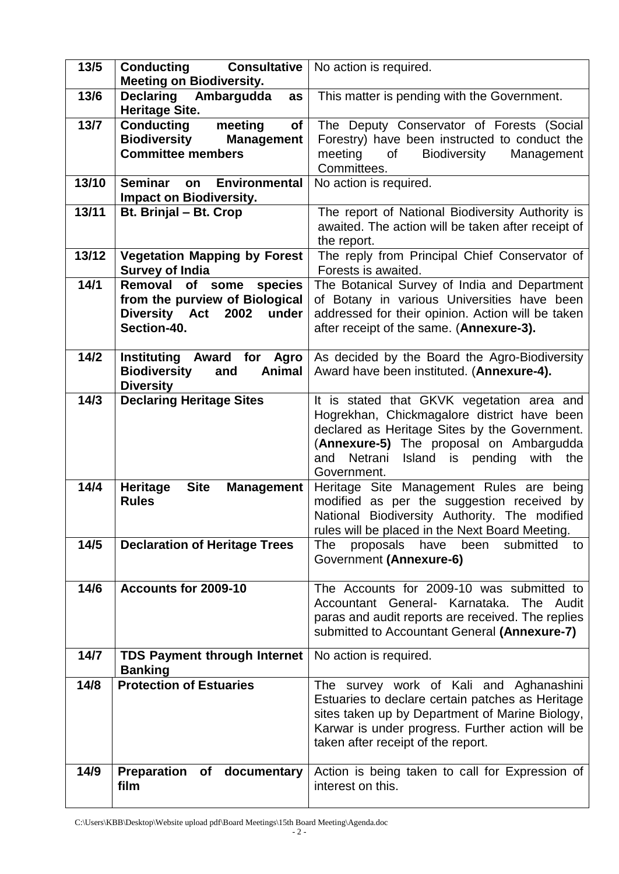| $13/5$ | <b>Conducting Consultative</b>   No action is required.<br><b>Meeting on Biodiversity.</b>                 |                                                                                                                                                                                                                                                         |
|--------|------------------------------------------------------------------------------------------------------------|---------------------------------------------------------------------------------------------------------------------------------------------------------------------------------------------------------------------------------------------------------|
| 13/6   | <b>Declaring</b><br>Ambargudda<br>as<br><b>Heritage Site.</b>                                              | This matter is pending with the Government.                                                                                                                                                                                                             |
| $13/7$ | <b>Conducting</b><br>meeting<br>of<br><b>Biodiversity</b><br><b>Management</b><br><b>Committee members</b> | The Deputy Conservator of Forests (Social<br>Forestry) have been instructed to conduct the<br>meeting<br>Biodiversity<br>of<br>Management<br>Committees.                                                                                                |
| 13/10  | Seminar<br><b>Environmental</b><br>on<br><b>Impact on Biodiversity.</b>                                    | No action is required.                                                                                                                                                                                                                                  |
| 13/11  | Bt. Brinjal - Bt. Crop                                                                                     | The report of National Biodiversity Authority is<br>awaited. The action will be taken after receipt of<br>the report.                                                                                                                                   |
| 13/12  | <b>Vegetation Mapping by Forest</b><br><b>Survey of India</b>                                              | The reply from Principal Chief Conservator of<br>Forests is awaited.                                                                                                                                                                                    |
| 14/1   | Removal of some species<br>from the purview of Biological<br>under<br>Diversity Act 2002<br>Section-40.    | The Botanical Survey of India and Department<br>of Botany in various Universities have been<br>addressed for their opinion. Action will be taken<br>after receipt of the same. (Annexure-3).                                                            |
| $14/2$ | <b>Instituting Award for Agro</b><br><b>Biodiversity</b><br><b>Animal</b><br>and<br><b>Diversity</b>       | As decided by the Board the Agro-Biodiversity<br>Award have been instituted. (Annexure-4).                                                                                                                                                              |
| 14/3   | <b>Declaring Heritage Sites</b>                                                                            | It is stated that GKVK vegetation area and<br>Hogrekhan, Chickmagalore district have been<br>declared as Heritage Sites by the Government.<br>(Annexure-5) The proposal on Ambargudda<br>Netrani<br>Island is pending<br>with the<br>and<br>Government. |
| 14/4   | <b>Site</b><br><b>Heritage</b><br><b>Management</b><br><b>Rules</b>                                        | Heritage Site Management Rules are being<br>modified as per the suggestion received by<br>National Biodiversity Authority. The modified<br>rules will be placed in the Next Board Meeting.                                                              |
| 14/5   | <b>Declaration of Heritage Trees</b>                                                                       | have<br>been<br>submitted<br>The<br>proposals<br>to<br>Government (Annexure-6)                                                                                                                                                                          |
| 14/6   | Accounts for 2009-10                                                                                       | The Accounts for 2009-10 was submitted to<br>Accountant General- Karnataka. The Audit<br>paras and audit reports are received. The replies<br>submitted to Accountant General (Annexure-7)                                                              |
| 14/7   | <b>TDS Payment through Internet</b><br><b>Banking</b>                                                      | No action is required.                                                                                                                                                                                                                                  |
| 14/8   | <b>Protection of Estuaries</b>                                                                             | The survey work of Kali and Aghanashini<br>Estuaries to declare certain patches as Heritage<br>sites taken up by Department of Marine Biology,<br>Karwar is under progress. Further action will be<br>taken after receipt of the report.                |
| 14/9   | <b>Preparation</b><br>of documentary<br>film                                                               | Action is being taken to call for Expression of<br>interest on this.                                                                                                                                                                                    |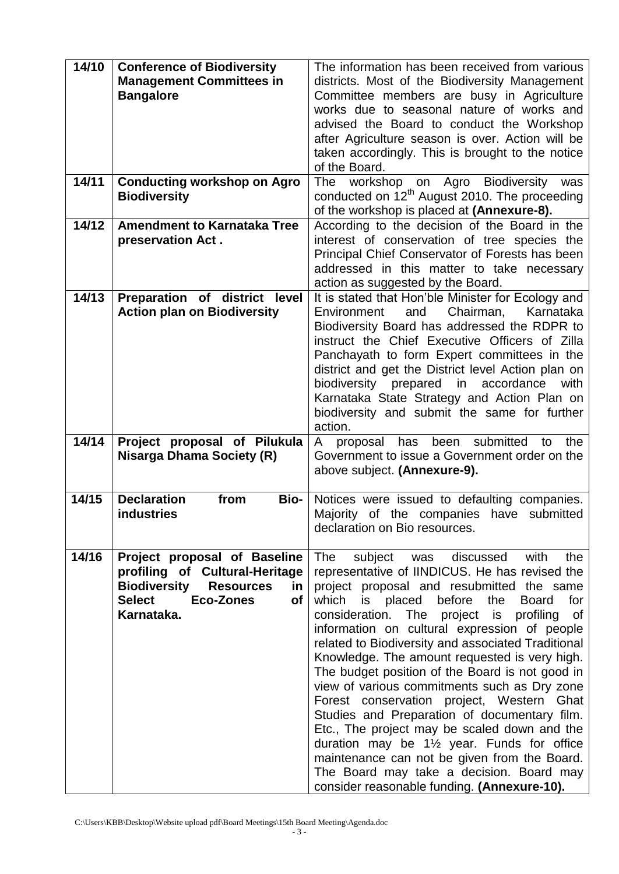| 14/10 |                                                |                                                                                         |
|-------|------------------------------------------------|-----------------------------------------------------------------------------------------|
|       | <b>Conference of Biodiversity</b>              | The information has been received from various                                          |
|       | <b>Management Committees in</b>                | districts. Most of the Biodiversity Management                                          |
|       | <b>Bangalore</b>                               | Committee members are busy in Agriculture                                               |
|       |                                                | works due to seasonal nature of works and                                               |
|       |                                                |                                                                                         |
|       |                                                | advised the Board to conduct the Workshop                                               |
|       |                                                | after Agriculture season is over. Action will be                                        |
|       |                                                | taken accordingly. This is brought to the notice                                        |
|       |                                                | of the Board.                                                                           |
| 14/11 |                                                | <b>Biodiversity</b><br><b>The</b><br>was                                                |
|       | <b>Conducting workshop on Agro</b>             | workshop<br>Agro<br>on                                                                  |
|       | <b>Biodiversity</b>                            | conducted on 12 <sup>th</sup> August 2010. The proceeding                               |
|       |                                                | of the workshop is placed at (Annexure-8).                                              |
| 14/12 | <b>Amendment to Karnataka Tree</b>             | According to the decision of the Board in the                                           |
|       | preservation Act.                              | interest of conservation of tree species the                                            |
|       |                                                | Principal Chief Conservator of Forests has been                                         |
|       |                                                | addressed in this matter to take necessary                                              |
|       |                                                |                                                                                         |
|       |                                                | action as suggested by the Board.                                                       |
| 14/13 | Preparation of district level                  | It is stated that Hon'ble Minister for Ecology and                                      |
|       | <b>Action plan on Biodiversity</b>             | and<br>Chairman,<br>Karnataka<br>Environment                                            |
|       |                                                | Biodiversity Board has addressed the RDPR to                                            |
|       |                                                | instruct the Chief Executive Officers of Zilla                                          |
|       |                                                | Panchayath to form Expert committees in the                                             |
|       |                                                | district and get the District level Action plan on                                      |
|       |                                                | biodiversity prepared in accordance<br>with                                             |
|       |                                                |                                                                                         |
|       |                                                | Karnataka State Strategy and Action Plan on                                             |
|       |                                                | biodiversity and submit the same for further                                            |
|       |                                                | action.                                                                                 |
| 14/14 | Project proposal of Pilukula                   | submitted<br>the<br>proposal has<br>been<br>A<br>to                                     |
|       | <b>Nisarga Dhama Society (R)</b>               | Government to issue a Government order on the                                           |
|       |                                                | above subject. (Annexure-9).                                                            |
|       |                                                |                                                                                         |
|       |                                                |                                                                                         |
|       |                                                |                                                                                         |
| 14/15 | <b>Declaration</b><br>from<br><b>Bio-</b>      | Notices were issued to defaulting companies.                                            |
|       | <b>industries</b>                              | Majority of the companies have submitted                                                |
|       |                                                | declaration on Bio resources.                                                           |
|       |                                                |                                                                                         |
| 14/16 | Project proposal of Baseline                   | subject was<br>discussed<br>with<br>the<br>The                                          |
|       | profiling of Cultural-Heritage                 | representative of IINDICUS. He has revised the                                          |
|       | <b>Biodiversity</b><br><b>Resources</b><br>in. | project proposal and resubmitted the same                                               |
|       | <b>Select</b><br><b>Eco-Zones</b><br>of        | which<br>before<br>for<br>is<br>the<br><b>Board</b>                                     |
|       |                                                | placed                                                                                  |
|       | Karnataka.                                     | consideration. The project is<br>profiling<br>of                                        |
|       |                                                | information on cultural expression of people                                            |
|       |                                                | related to Biodiversity and associated Traditional                                      |
|       |                                                | Knowledge. The amount requested is very high.                                           |
|       |                                                | The budget position of the Board is not good in                                         |
|       |                                                | view of various commitments such as Dry zone                                            |
|       |                                                | Forest conservation project, Western Ghat                                               |
|       |                                                |                                                                                         |
|       |                                                | Studies and Preparation of documentary film.                                            |
|       |                                                | Etc., The project may be scaled down and the                                            |
|       |                                                | duration may be 1 <sup>1/2</sup> year. Funds for office                                 |
|       |                                                | maintenance can not be given from the Board.                                            |
|       |                                                | The Board may take a decision. Board may<br>consider reasonable funding. (Annexure-10). |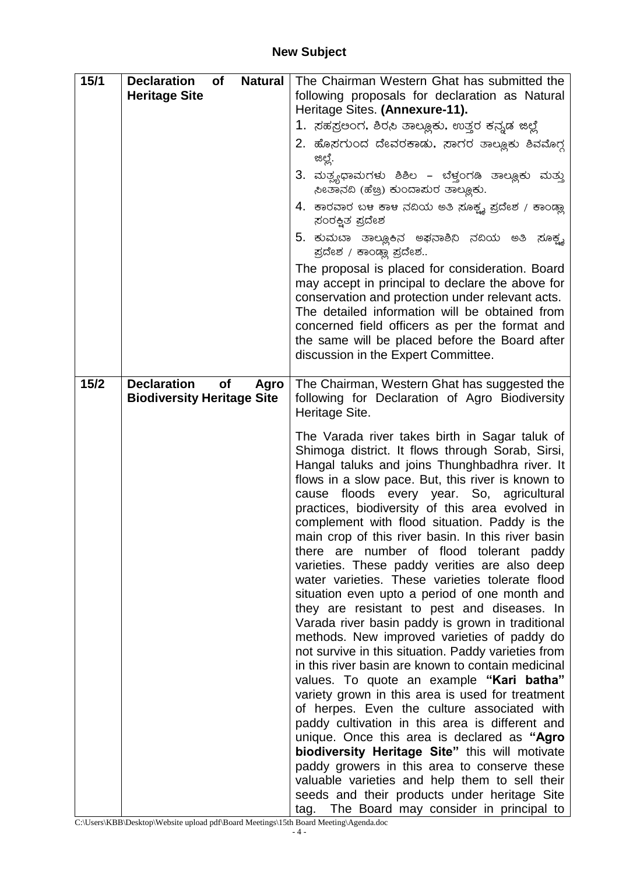| 15/1   | <b>Declaration</b><br><b>of</b><br><b>Natural</b><br><b>Heritage Site</b>    | The Chairman Western Ghat has submitted the<br>following proposals for declaration as Natural<br>Heritage Sites. (Annexure-11).<br>1.  ಸಹಸ್ರಲಂಗ, ಶಿರಸಿ ತಾಲ್ಲೂಕು, ಉತ್ತರ ಕನ್ನಡ ಜಿಲ್ಲೆ<br>2. ಹೊಸಗುಂದ ದೇವರಕಾಡು, ನಾಗರ ತಾಲ್ಲೂಕು ಶಿವಮೊಗ್ಗ<br>ಜಿಲ್ಲೆ.<br>3. ಮತ್ಸ್ಯಧಾಮಗಳು ಶಿಶಿಲ – ಬೆಳ್ತಂಗಡಿ ತಾಲ್ಲೂಕು ಮತ್ತು<br>ಸೀತಾನದಿ (ಹೆಚ್ರಿ) ಕುಂದಾಮರ ತಾಲ್ಲೂಕು.<br>4. ಕಾರವಾರ ಬಳ ಕಾಳ ನದಿಯ ಅತಿ ಸೂಕ್ಷ್ಯ ಪ್ರದೇಶ / ಕಾಂಡ್ಲಾ<br>ಸಂರಕ್ಷಿತ ಪ್ರದೇಶ<br>5. ಕುಮಬಾ ತಾಲ್ಲೂಕಿನ ಅಫನಾಶಿನಿ ನದಿಯ ಅತಿ ಸೂಕ್ಷ್ಮ<br>ಪ್ರದೇಶ / ಕಾಂಡ್ಲಾ ಪ್ರದೇಶ<br>The proposal is placed for consideration. Board<br>may accept in principal to declare the above for<br>conservation and protection under relevant acts.<br>The detailed information will be obtained from<br>concerned field officers as per the format and<br>the same will be placed before the Board after<br>discussion in the Expert Committee.                                                                                                                                                                                                                                                                                                                                                                                                                                                                                                                                                                                                                                                      |
|--------|------------------------------------------------------------------------------|----------------------------------------------------------------------------------------------------------------------------------------------------------------------------------------------------------------------------------------------------------------------------------------------------------------------------------------------------------------------------------------------------------------------------------------------------------------------------------------------------------------------------------------------------------------------------------------------------------------------------------------------------------------------------------------------------------------------------------------------------------------------------------------------------------------------------------------------------------------------------------------------------------------------------------------------------------------------------------------------------------------------------------------------------------------------------------------------------------------------------------------------------------------------------------------------------------------------------------------------------------------------------------------------------------------------------------------------------------------------------------------------------------------------------------------------------------------------------------------------------------|
| $15/2$ | <b>Declaration</b><br><b>of</b><br>Agro<br><b>Biodiversity Heritage Site</b> | The Chairman, Western Ghat has suggested the<br>following for Declaration of Agro Biodiversity<br>Heritage Site.<br>The Varada river takes birth in Sagar taluk of<br>Shimoga district. It flows through Sorab, Sirsi,<br>Hangal taluks and joins Thunghbadhra river. It<br>flows in a slow pace. But, this river is known to<br>cause floods every year. So, agricultural<br>practices, biodiversity of this area evolved in<br>complement with flood situation. Paddy is the<br>main crop of this river basin. In this river basin<br>there are number of flood tolerant paddy<br>varieties. These paddy verities are also deep<br>water varieties. These varieties tolerate flood<br>situation even upto a period of one month and<br>they are resistant to pest and diseases. In<br>Varada river basin paddy is grown in traditional<br>methods. New improved varieties of paddy do<br>not survive in this situation. Paddy varieties from<br>in this river basin are known to contain medicinal<br>values. To quote an example "Kari batha"<br>variety grown in this area is used for treatment<br>of herpes. Even the culture associated with<br>paddy cultivation in this area is different and<br>unique. Once this area is declared as "Agro<br>biodiversity Heritage Site" this will motivate<br>paddy growers in this area to conserve these<br>valuable varieties and help them to sell their<br>seeds and their products under heritage Site<br>tag. The Board may consider in principal to |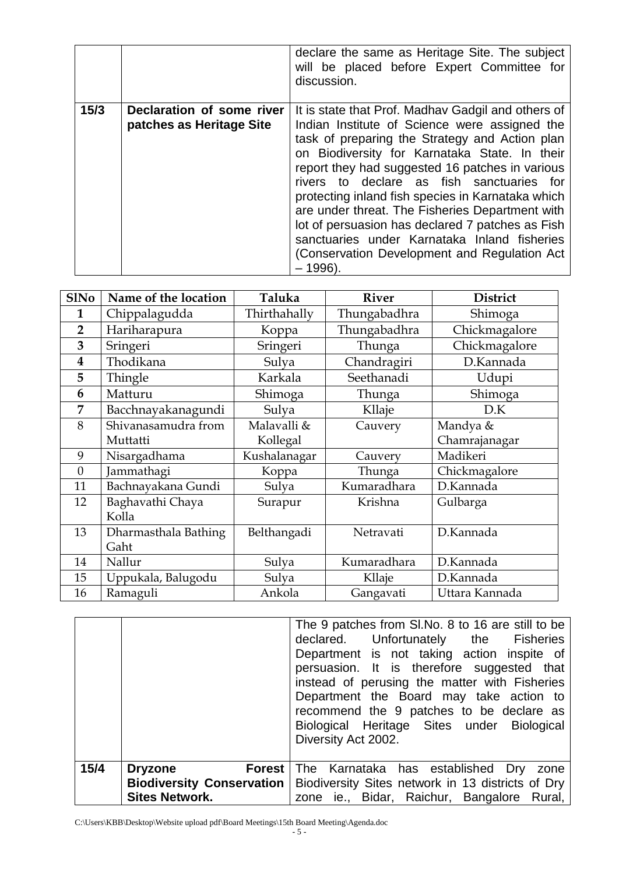|      |                                                       | declare the same as Heritage Site. The subject<br>will be placed before Expert Committee for<br>discussion.                                                                                                                                                                                                                                                                                                                                                                                                                                                                       |
|------|-------------------------------------------------------|-----------------------------------------------------------------------------------------------------------------------------------------------------------------------------------------------------------------------------------------------------------------------------------------------------------------------------------------------------------------------------------------------------------------------------------------------------------------------------------------------------------------------------------------------------------------------------------|
| 15/3 | Declaration of some river<br>patches as Heritage Site | It is state that Prof. Madhay Gadgil and others of<br>Indian Institute of Science were assigned the<br>task of preparing the Strategy and Action plan<br>on Biodiversity for Karnataka State. In their<br>report they had suggested 16 patches in various<br>rivers to declare as fish sanctuaries for<br>protecting inland fish species in Karnataka which<br>are under threat. The Fisheries Department with<br>lot of persuasion has declared 7 patches as Fish<br>sanctuaries under Karnataka Inland fisheries<br>(Conservation Development and Regulation Act)<br>$-1996$ ). |

| <b>S1No</b>    | Name of the location | Taluka       | <b>River</b> | <b>District</b> |
|----------------|----------------------|--------------|--------------|-----------------|
| 1              | Chippalagudda        | Thirthahally | Thungabadhra | Shimoga         |
| $\overline{2}$ | Hariharapura         | Koppa        | Thungabadhra | Chickmagalore   |
| 3              | Sringeri             | Sringeri     | Thunga       | Chickmagalore   |
| 4              | Thodikana            | Sulva        | Chandragiri  | D.Kannada       |
| 5              | Thingle              | Karkala      | Seethanadi   | Udupi           |
| 6              | Matturu              | Shimoga      | Thunga       | Shimoga         |
| 7              | Bacchnayakanagundi   | Sulya        | Kllaje       | D.K             |
| 8              | Shivanasamudra from  | Malavalli &  | Cauvery      | Mandya &        |
|                | Muttatti             | Kollegal     |              | Chamrajanagar   |
| 9              | Nisargadhama         | Kushalanagar | Cauvery      | Madikeri        |
| $\overline{0}$ | Jammathagi           | Koppa        | Thunga       | Chickmagalore   |
| 11             | Bachnayakana Gundi   | Sulya        | Kumaradhara  | D.Kannada       |
| 12             | Baghavathi Chaya     | Surapur      | Krishna      | Gulbarga        |
|                | Kolla                |              |              |                 |
| 13             | Dharmasthala Bathing | Belthangadi  | Netravati    | D.Kannada       |
|                | Gaht                 |              |              |                 |
| 14             | Nallur               | Sulya        | Kumaradhara  | D.Kannada       |
| 15             | Uppukala, Balugodu   | Sulya        | Kllaje       | D.Kannada       |
| 16             | Ramaguli             | Ankola       | Gangavati    | Uttara Kannada  |

|      |                       | The 9 patches from SI.No. 8 to 16 are still to be<br>declared. Unfortunately the Fisheries<br>Department is not taking action inspite of<br>persuasion. It is therefore suggested that<br>instead of perusing the matter with Fisheries<br>Department the Board may take action to<br>recommend the 9 patches to be declare as<br>Biological Heritage Sites under Biological<br>Diversity Act 2002. |
|------|-----------------------|-----------------------------------------------------------------------------------------------------------------------------------------------------------------------------------------------------------------------------------------------------------------------------------------------------------------------------------------------------------------------------------------------------|
| 15/4 | <b>Dryzone</b>        | <b>Forest</b> The Karnataka has established Dry zone                                                                                                                                                                                                                                                                                                                                                |
|      |                       | <b>Biodiversity Conservation   Biodiversity Sites network in 13 districts of Dry</b>                                                                                                                                                                                                                                                                                                                |
|      | <b>Sites Network.</b> | zone ie., Bidar, Raichur, Bangalore Rural,                                                                                                                                                                                                                                                                                                                                                          |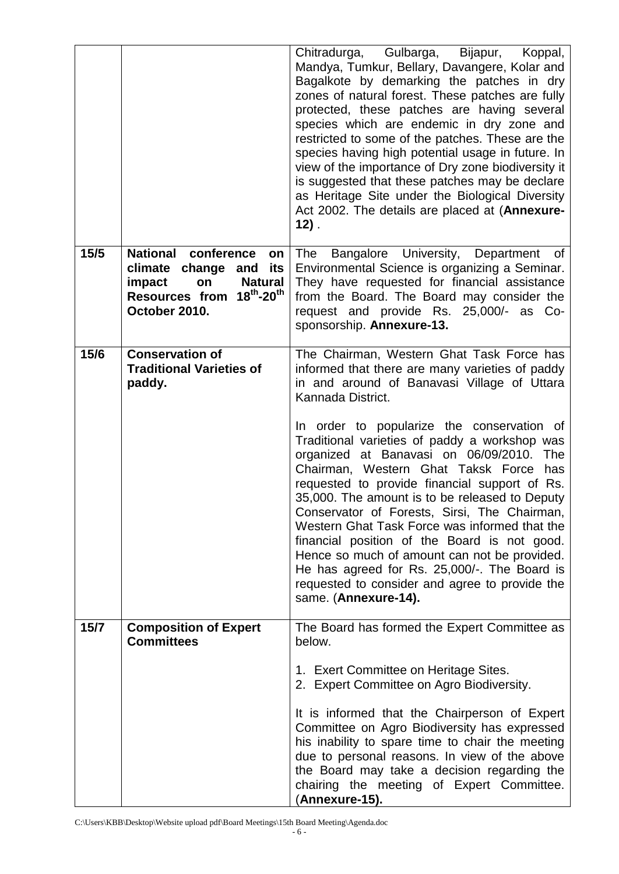|      |                                                                                                                                          | Chitradurga, Gulbarga,<br>Bijapur, Koppal,<br>Mandya, Tumkur, Bellary, Davangere, Kolar and<br>Bagalkote by demarking the patches in dry<br>zones of natural forest. These patches are fully<br>protected, these patches are having several<br>species which are endemic in dry zone and<br>restricted to some of the patches. These are the<br>species having high potential usage in future. In<br>view of the importance of Dry zone biodiversity it<br>is suggested that these patches may be declare<br>as Heritage Site under the Biological Diversity<br>Act 2002. The details are placed at (Annexure-<br>$12)$ .                                                                                                                                                                 |
|------|------------------------------------------------------------------------------------------------------------------------------------------|-------------------------------------------------------------------------------------------------------------------------------------------------------------------------------------------------------------------------------------------------------------------------------------------------------------------------------------------------------------------------------------------------------------------------------------------------------------------------------------------------------------------------------------------------------------------------------------------------------------------------------------------------------------------------------------------------------------------------------------------------------------------------------------------|
| 15/5 | National conference<br>on<br>climate change<br>its<br>and<br>impact<br><b>Natural</b><br>on<br>Resources from 18th-20th<br>October 2010. | Bangalore University, Department<br>The<br>of<br>Environmental Science is organizing a Seminar.<br>They have requested for financial assistance<br>from the Board. The Board may consider the<br>request and provide Rs. 25,000/- as<br>$Co-$<br>sponsorship. Annexure-13.                                                                                                                                                                                                                                                                                                                                                                                                                                                                                                                |
| 15/6 | <b>Conservation of</b><br><b>Traditional Varieties of</b><br>paddy.                                                                      | The Chairman, Western Ghat Task Force has<br>informed that there are many varieties of paddy<br>in and around of Banavasi Village of Uttara<br>Kannada District.<br>In order to popularize the conservation of<br>Traditional varieties of paddy a workshop was<br>organized at Banavasi on 06/09/2010.<br>The<br>Chairman, Western Ghat Taksk Force<br>has<br>requested to provide financial support of Rs.<br>35,000. The amount is to be released to Deputy<br>Conservator of Forests, Sirsi, The Chairman,<br>Western Ghat Task Force was informed that the<br>financial position of the Board is not good.<br>Hence so much of amount can not be provided.<br>He has agreed for Rs. 25,000/-. The Board is<br>requested to consider and agree to provide the<br>same. (Annexure-14). |
| 15/7 | <b>Composition of Expert</b><br><b>Committees</b>                                                                                        | The Board has formed the Expert Committee as<br>below.<br>1. Exert Committee on Heritage Sites.<br>2. Expert Committee on Agro Biodiversity.<br>It is informed that the Chairperson of Expert<br>Committee on Agro Biodiversity has expressed<br>his inability to spare time to chair the meeting<br>due to personal reasons. In view of the above<br>the Board may take a decision regarding the<br>chairing the meeting of Expert Committee.<br>(Annexure-15).                                                                                                                                                                                                                                                                                                                          |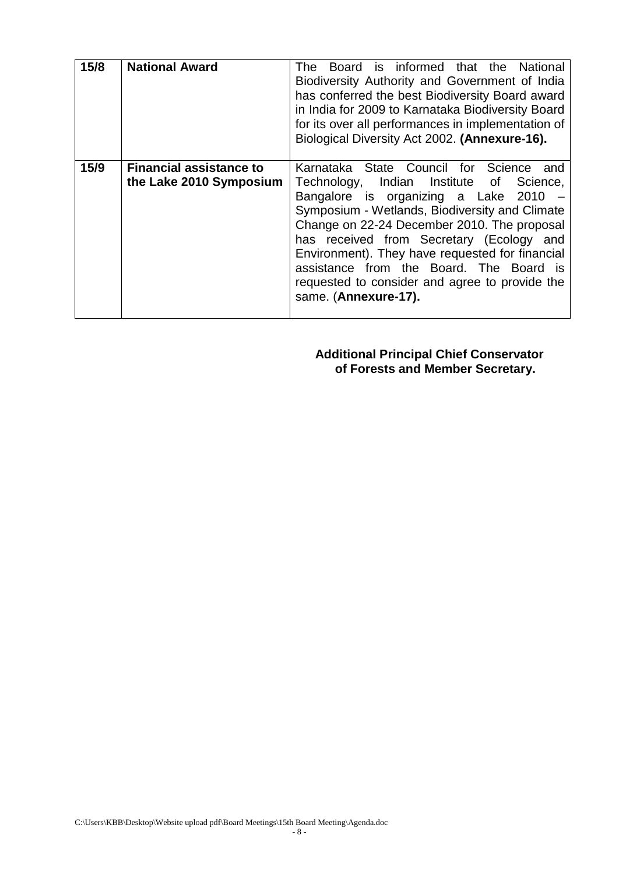| 15/8 | <b>National Award</b>                                     | Board is informed that the National<br>The<br>Biodiversity Authority and Government of India<br>has conferred the best Biodiversity Board award<br>in India for 2009 to Karnataka Biodiversity Board<br>for its over all performances in implementation of<br>Biological Diversity Act 2002. (Annexure-16).                                                                                                                                        |
|------|-----------------------------------------------------------|----------------------------------------------------------------------------------------------------------------------------------------------------------------------------------------------------------------------------------------------------------------------------------------------------------------------------------------------------------------------------------------------------------------------------------------------------|
| 15/9 | <b>Financial assistance to</b><br>the Lake 2010 Symposium | Karnataka State Council for Science<br>and<br>Technology, Indian Institute of Science,<br>Bangalore is organizing a Lake 2010<br>Symposium - Wetlands, Biodiversity and Climate<br>Change on 22-24 December 2010. The proposal<br>has received from Secretary (Ecology and<br>Environment). They have requested for financial<br>assistance from the Board. The Board is<br>requested to consider and agree to provide the<br>same. (Annexure-17). |

**Additional Principal Chief Conservator of Forests and Member Secretary.**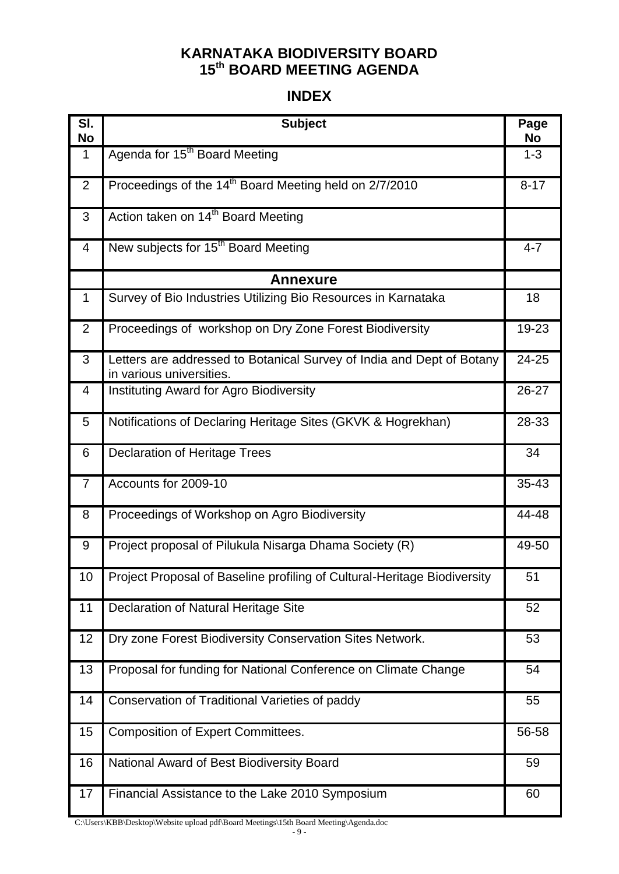## **KARNATAKA BIODIVERSITY BOARD th BOARD MEETING AGENDA**

# **INDEX**

| SI.<br>No      | <b>Subject</b>                                                                                    | Page<br>No |
|----------------|---------------------------------------------------------------------------------------------------|------------|
| $\mathbf{1}$   | Agenda for 15 <sup>th</sup> Board Meeting                                                         | $1 - 3$    |
| $\overline{2}$ | Proceedings of the 14 <sup>th</sup> Board Meeting held on 2/7/2010                                | $8 - 17$   |
| 3              | Action taken on 14 <sup>th</sup> Board Meeting                                                    |            |
| 4              | New subjects for 15 <sup>th</sup> Board Meeting                                                   | $4 - 7$    |
|                | <b>Annexure</b>                                                                                   |            |
| $\mathbf 1$    | Survey of Bio Industries Utilizing Bio Resources in Karnataka                                     | 18         |
| 2              | Proceedings of workshop on Dry Zone Forest Biodiversity                                           | 19-23      |
| 3              | Letters are addressed to Botanical Survey of India and Dept of Botany<br>in various universities. | 24-25      |
| 4              | Instituting Award for Agro Biodiversity                                                           | 26-27      |
| 5              | Notifications of Declaring Heritage Sites (GKVK & Hogrekhan)                                      | 28-33      |
| 6              | <b>Declaration of Heritage Trees</b>                                                              | 34         |
| $\overline{7}$ | Accounts for 2009-10                                                                              | 35-43      |
| 8              | Proceedings of Workshop on Agro Biodiversity                                                      | 44-48      |
| 9              | Project proposal of Pilukula Nisarga Dhama Society (R)                                            | 49-50      |
| 10             | Project Proposal of Baseline profiling of Cultural-Heritage Biodiversity                          | 51         |
| 11             | Declaration of Natural Heritage Site                                                              | 52         |
| 12             | Dry zone Forest Biodiversity Conservation Sites Network.                                          | 53         |
| 13             | Proposal for funding for National Conference on Climate Change                                    | 54         |
| 14             | Conservation of Traditional Varieties of paddy                                                    | 55         |
| 15             | <b>Composition of Expert Committees.</b>                                                          | 56-58      |
| 16             | National Award of Best Biodiversity Board                                                         | 59         |
| 17             | Financial Assistance to the Lake 2010 Symposium                                                   | 60         |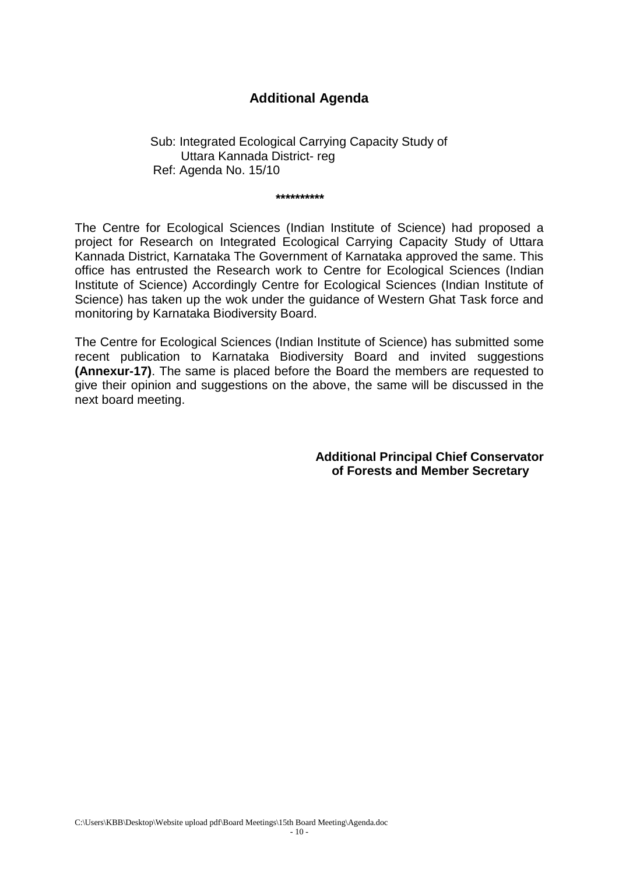#### **Additional Agenda**

 Sub: Integrated Ecological Carrying Capacity Study of Uttara Kannada District- reg Ref: Agenda No. 15/10

 **\*\*\*\*\*\*\*\*\*\***

The Centre for Ecological Sciences (Indian Institute of Science) had proposed a project for Research on Integrated Ecological Carrying Capacity Study of Uttara Kannada District, Karnataka The Government of Karnataka approved the same. This office has entrusted the Research work to Centre for Ecological Sciences (Indian Institute of Science) Accordingly Centre for Ecological Sciences (Indian Institute of Science) has taken up the wok under the guidance of Western Ghat Task force and monitoring by Karnataka Biodiversity Board.

The Centre for Ecological Sciences (Indian Institute of Science) has submitted some recent publication to Karnataka Biodiversity Board and invited suggestions **(Annexur-17)**. The same is placed before the Board the members are requested to give their opinion and suggestions on the above, the same will be discussed in the next board meeting.

> **Additional Principal Chief Conservator of Forests and Member Secretary**